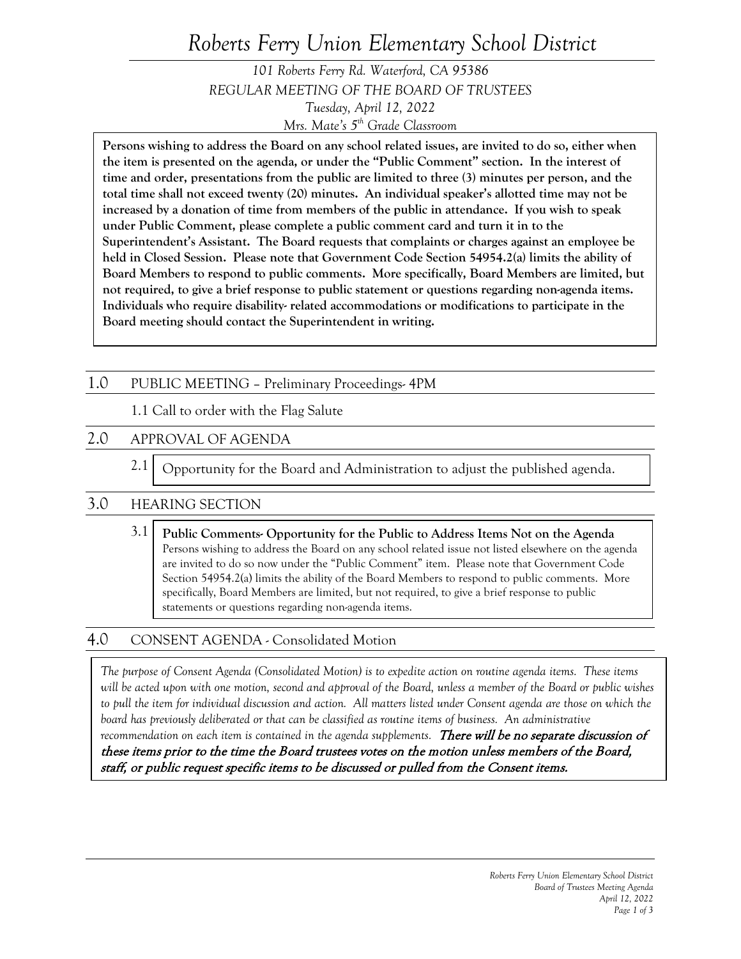# *Roberts Ferry Union Elementary School District*

*101 Roberts Ferry Rd. Waterford, CA 95386 REGULAR MEETING OF THE BOARD OF TRUSTEES Tuesday, April 12, 2022 Mrs. Mate's 5th Grade Classroom*

**Persons wishing to address the Board on any school related issues, are invited to do so, either when the item is presented on the agenda, or under the "Public Comment" section. In the interest of time and order, presentations from the public are limited to three (3) minutes per person, and the total time shall not exceed twenty (20) minutes. An individual speaker's allotted time may not be increased by a donation of time from members of the public in attendance. If you wish to speak under Public Comment, please complete a public comment card and turn it in to the Superintendent's Assistant. The Board requests that complaints or charges against an employee be held in Closed Session. Please note that Government Code Section 54954.2(a) limits the ability of Board Members to respond to public comments. More specifically, Board Members are limited, but not required, to give a brief response to public statement or questions regarding non-agenda items. Individuals who require disability- related accommodations or modifications to participate in the Board meeting should contact the Superintendent in writing.**

## 1.0 PUBLIC MEETING – Preliminary Proceedings- 4PM

1.1 Call to order with the Flag Salute

## 2.0 APPROVAL OF AGENDA

 2.1 Opportunity for the Board and Administration to adjust the published agenda.

## 3.0 HEARING SECTION

3.1 **Public Comments- Opportunity for the Public to Address Items Not on the Agenda** Persons wishing to address the Board on any school related issue not listed elsewhere on the agenda are invited to do so now under the "Public Comment" item. Please note that Government Code Section 54954.2(a) limits the ability of the Board Members to respond to public comments. More specifically, Board Members are limited, but not required, to give a brief response to public statements or questions regarding non-agenda items.

## 4.0 CONSENT AGENDA - Consolidated Motion

*The purpose of Consent Agenda (Consolidated Motion) is to expedite action on routine agenda items. These items will be acted upon with one motion, second and approval of the Board, unless a member of the Board or public wishes*  to pull the item for individual discussion and action. All matters listed under Consent agenda are those on which the *board has previously deliberated or that can be classified as routine items of business. An administrative* 

recommendation on each item is contained in the agenda supplements. **There will be no separate discussion of** these items prior to the time the Board trustees votes on the motion unless members of the Board, staff, or public request specific items to be discussed or pulled from the Consent items.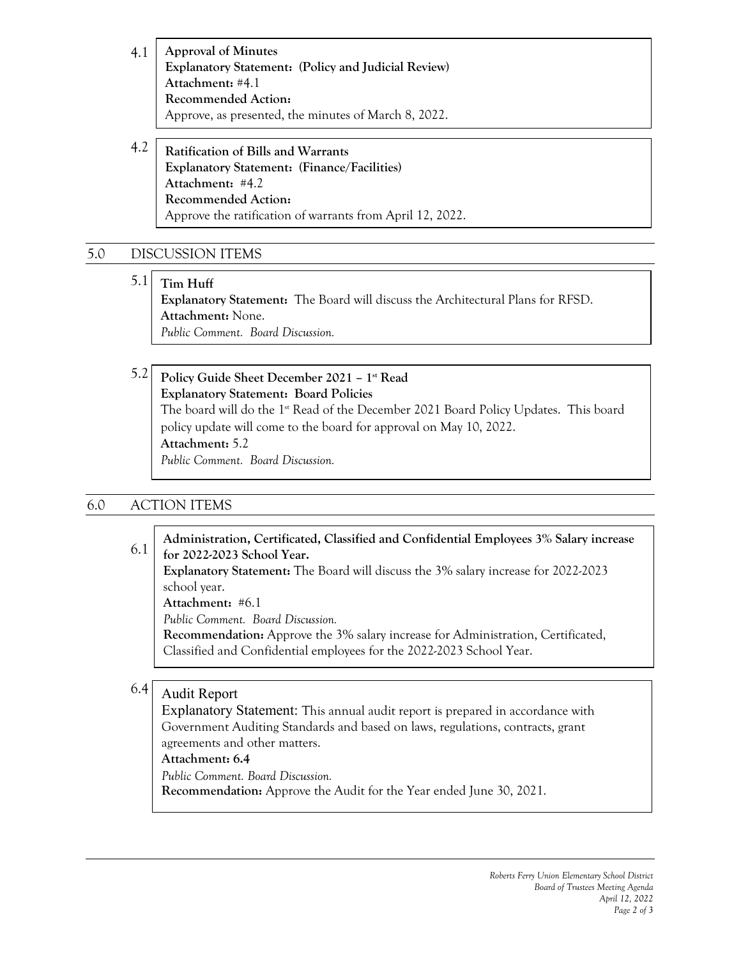4.1 **Approval of Minutes Explanatory Statement: (Policy and Judicial Review) Attachment:** #4.1 **Recommended Action:** Approve, as presented, the minutes of March 8, 2022.

4.2 **Ratification of Bills and Warrants Explanatory Statement: (Finance/Facilities) Attachment:** #4.2 **Recommended Action:** Approve the ratification of warrants from April 12, 2022.

# 5.0 DISCUSSION ITEMS

 5.1 **Tim Huff Explanatory Statement:** The Board will discuss the Architectural Plans for RFSD.

**Attachment:** None. *Public Comment. Board Discussion.*

5.2 **Policy Guide Sheet December 2021 – 1st Read Explanatory Statement: Board Policies**  The board will do the 1<sup>st</sup> Read of the December 2021 Board Policy Updates. This board policy update will come to the board for approval on May 10, 2022. **Attachment:** 5.2 *Public Comment. Board Discussion.*

# 6.0 ACTION ITEMS

 6.1 **Administration, Certificated, Classified and Confidential Employees 3% Salary increase for 2022-2023 School Year.**

**Explanatory Statement:** The Board will discuss the 3% salary increase for 2022-2023 school year.

**Attachment:** #6.1

*Public Comment. Board Discussion.*

**Recommendation:** Approve the 3% salary increase for Administration, Certificated, Classified and Confidential employees for the 2022-2023 School Year.

#### 6.4 Audit Report

Explanatory Statement: This annual audit report is prepared in accordance with Government Auditing Standards and based on laws, regulations, contracts, grant agreements and other matters.

#### **Attachment: 6.4**

*Public Comment. Board Discussion.*

**Recommendation:** Approve the Audit for the Year ended June 30, 2021.